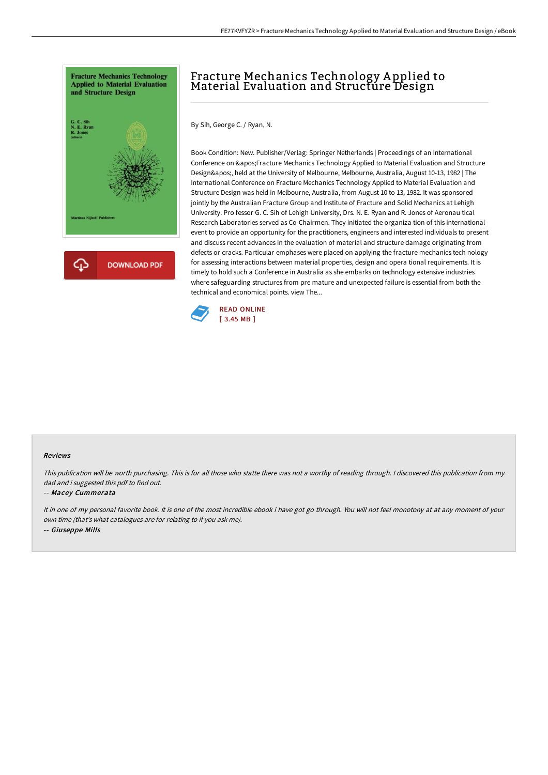



# Fracture Mechanics Technology A pplied to Material Evaluation and Structure Design

By Sih, George C. / Ryan, N.

Book Condition: New. Publisher/Verlag: Springer Netherlands | Proceedings of an International Conference on ' Fracture Mechanics Technology Applied to Material Evaluation and Structure Design', held at the University of Melbourne, Melbourne, Australia, August 10-13, 1982 | The International Conference on Fracture Mechanics Technology Applied to Material Evaluation and Structure Design was held in Melbourne, Australia, from August 10 to 13, 1982. It was sponsored jointly by the Australian Fracture Group and Institute of Fracture and Solid Mechanics at Lehigh University. Pro fessor G. C. Sih of Lehigh University, Drs. N. E. Ryan and R. Jones of Aeronau tical Research Laboratories served as Co-Chairmen. They initiated the organiza tion of this international event to provide an opportunity for the practitioners, engineers and interested individuals to present and discuss recent advances in the evaluation of material and structure damage originating from defects or cracks. Particular emphases were placed on applying the fracture mechanics tech nology for assessing interactions between material properties, design and opera tional requirements. It is timely to hold such a Conference in Australia as she embarks on technology extensive industries where safeguarding structures from pre mature and unexpected failure is essential from both the technical and economical points. view The...



#### Reviews

This publication will be worth purchasing. This is for all those who statte there was not <sup>a</sup> worthy of reading through. <sup>I</sup> discovered this publication from my dad and i suggested this pdf to find out.

#### -- Macey Cummerata

It in one of my personal favorite book. It is one of the most incredible ebook i have got go through. You will not feel monotony at at any moment of your own time (that's what catalogues are for relating to if you ask me). -- Giuseppe Mills